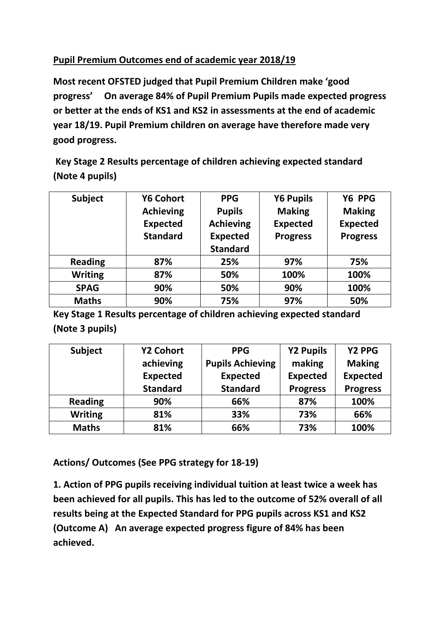## **Pupil Premium Outcomes end of academic year 2018/19**

**Most recent OFSTED judged that Pupil Premium Children make 'good progress' On average 84% of Pupil Premium Pupils made expected progress or better at the ends of KS1 and KS2 in assessments at the end of academic year 18/19. Pupil Premium children on average have therefore made very good progress.**

**Key Stage 2 Results percentage of children achieving expected standard (Note 4 pupils)**

| <b>Subject</b> | <b>Y6 Cohort</b> | <b>PPG</b>       | <b>Y6 Pupils</b> | Y6 PPG          |
|----------------|------------------|------------------|------------------|-----------------|
|                | <b>Achieving</b> | <b>Pupils</b>    | <b>Making</b>    | <b>Making</b>   |
|                | <b>Expected</b>  | <b>Achieving</b> | <b>Expected</b>  | <b>Expected</b> |
|                | <b>Standard</b>  | <b>Expected</b>  | <b>Progress</b>  | <b>Progress</b> |
|                |                  | <b>Standard</b>  |                  |                 |
| <b>Reading</b> | 87%              | 25%              | 97%              | 75%             |
| <b>Writing</b> | 87%              | 50%              | 100%             | 100%            |
| <b>SPAG</b>    | 90%              | 50%              | 90%              | 100%            |
| <b>Maths</b>   | 90%              | 75%              | 97%              | 50%             |

**Key Stage 1 Results percentage of children achieving expected standard (Note 3 pupils)**

| <b>Subject</b> | <b>Y2 Cohort</b> | <b>PPG</b>              | <b>Y2 Pupils</b> | Y2 PPG          |
|----------------|------------------|-------------------------|------------------|-----------------|
|                | achieving        | <b>Pupils Achieving</b> | making           | <b>Making</b>   |
|                | <b>Expected</b>  | <b>Expected</b>         | <b>Expected</b>  | <b>Expected</b> |
|                | <b>Standard</b>  | <b>Standard</b>         | <b>Progress</b>  | <b>Progress</b> |
| <b>Reading</b> | 90%              | 66%                     | 87%              | 100%            |
| <b>Writing</b> | 81%              | 33%                     | 73%              | 66%             |
| <b>Maths</b>   | 81%              | 66%                     | 73%              | 100%            |

**Actions/ Outcomes (See PPG strategy for 18-19)**

**1. Action of PPG pupils receiving individual tuition at least twice a week has been achieved for all pupils. This has led to the outcome of 52% overall of all results being at the Expected Standard for PPG pupils across KS1 and KS2 (Outcome A) An average expected progress figure of 84% has been achieved.**